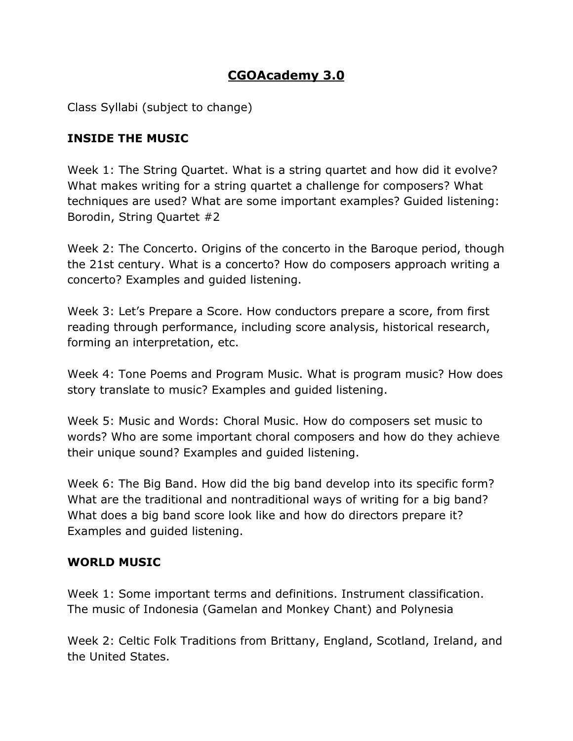## **CGOAcademy 3.0**

Class Syllabi (subject to change)

## **INSIDE THE MUSIC**

Week 1: The String Quartet. What is a string quartet and how did it evolve? What makes writing for a string quartet a challenge for composers? What techniques are used? What are some important examples? Guided listening: Borodin, String Quartet #2

Week 2: The Concerto. Origins of the concerto in the Baroque period, though the 21st century. What is a concerto? How do composers approach writing a concerto? Examples and guided listening.

Week 3: Let's Prepare a Score. How conductors prepare a score, from first reading through performance, including score analysis, historical research, forming an interpretation, etc.

Week 4: Tone Poems and Program Music. What is program music? How does story translate to music? Examples and guided listening.

Week 5: Music and Words: Choral Music. How do composers set music to words? Who are some important choral composers and how do they achieve their unique sound? Examples and guided listening.

Week 6: The Big Band. How did the big band develop into its specific form? What are the traditional and nontraditional ways of writing for a big band? What does a big band score look like and how do directors prepare it? Examples and guided listening.

## **WORLD MUSIC**

Week 1: Some important terms and definitions. Instrument classification. The music of Indonesia (Gamelan and Monkey Chant) and Polynesia

Week 2: Celtic Folk Traditions from Brittany, England, Scotland, Ireland, and the United States.